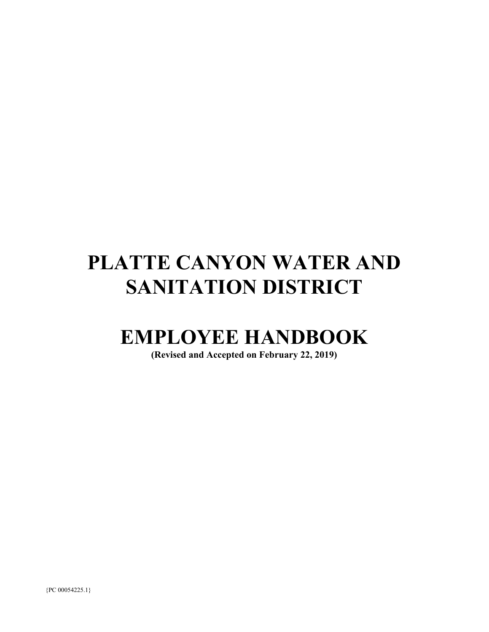# **PLATTE CANYON WATER AND SANITATION DISTRICT**

## **EMPLOYEE HANDBOOK**

**(Revised and Accepted on February 22, 2019)**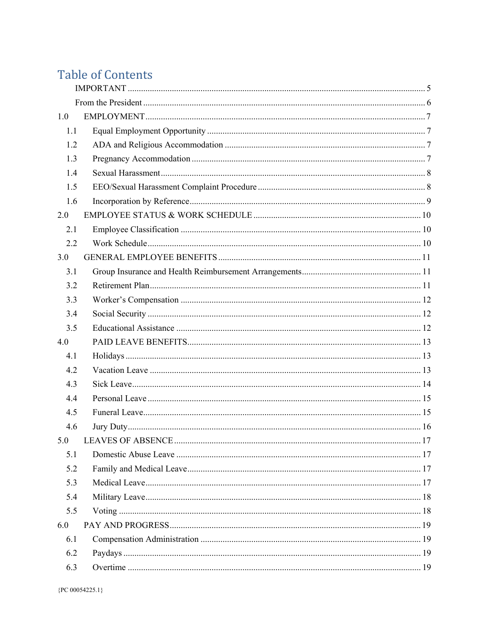## **Table of Contents**

| 1.0 |  |  |  |
|-----|--|--|--|
| 1.1 |  |  |  |
| 1.2 |  |  |  |
| 1.3 |  |  |  |
| 1.4 |  |  |  |
| 1.5 |  |  |  |
| 1.6 |  |  |  |
| 2.0 |  |  |  |
| 2.1 |  |  |  |
| 2.2 |  |  |  |
| 3.0 |  |  |  |
| 3.1 |  |  |  |
| 3.2 |  |  |  |
| 3.3 |  |  |  |
| 3.4 |  |  |  |
| 3.5 |  |  |  |
| 4.0 |  |  |  |
| 4.1 |  |  |  |
| 4.2 |  |  |  |
| 4.3 |  |  |  |
| 4.4 |  |  |  |
| 4.5 |  |  |  |
| 4.6 |  |  |  |
|     |  |  |  |
| 5.1 |  |  |  |
| 5.2 |  |  |  |
| 5.3 |  |  |  |
| 5.4 |  |  |  |
| 5.5 |  |  |  |
| 6.0 |  |  |  |
| 6.1 |  |  |  |
| 6.2 |  |  |  |
| 6.3 |  |  |  |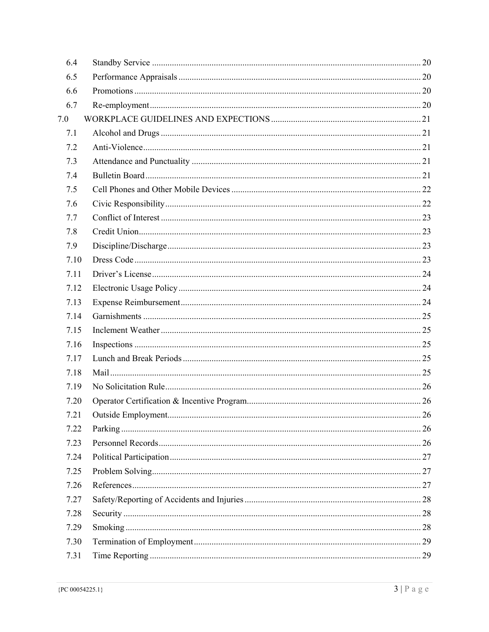| 6.4  |  |
|------|--|
| 6.5  |  |
| 6.6  |  |
| 6.7  |  |
| 7.0  |  |
| 7.1  |  |
| 7.2  |  |
| 7.3  |  |
| 7.4  |  |
| 7.5  |  |
| 7.6  |  |
| 7.7  |  |
| 7.8  |  |
| 7.9  |  |
| 7.10 |  |
| 7.11 |  |
| 7.12 |  |
| 7.13 |  |
| 7.14 |  |
| 7.15 |  |
| 7.16 |  |
| 7.17 |  |
| 7.18 |  |
| 7.19 |  |
| 7.20 |  |
| 7.21 |  |
| 7.22 |  |
| 7.23 |  |
| 7.24 |  |
| 7.25 |  |
| 7.26 |  |
| 7.27 |  |
| 7.28 |  |
| 7.29 |  |
| 7.30 |  |
| 7.31 |  |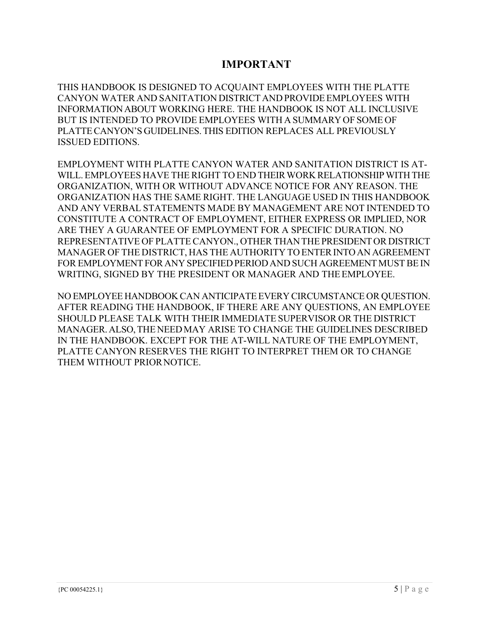### **IMPORTANT**

THIS HANDBOOK IS DESIGNED TO ACQUAINT EMPLOYEES WITH THE PLATTE CANYON WATER AND SANITATION DISTRICT AND PROVIDE EMPLOYEES WITH INFORMATION ABOUT WORKING HERE. THE HANDBOOK IS NOT ALL INCLUSIVE BUT IS INTENDED TO PROVIDE EMPLOYEES WITH A SUMMARY OF SOME OF PLATTE CANYON'S GUIDELINES. THIS EDITION REPLACES ALL PREVIOUSLY ISSUED EDITIONS.

EMPLOYMENT WITH PLATTE CANYON WATER AND SANITATION DISTRICT IS AT-WILL. EMPLOYEES HAVE THE RIGHT TO END THEIR WORK RELATIONSHIP WITH THE ORGANIZATION, WITH OR WITHOUT ADVANCE NOTICE FOR ANY REASON. THE ORGANIZATION HAS THE SAME RIGHT. THE LANGUAGE USED IN THIS HANDBOOK AND ANY VERBAL STATEMENTS MADE BY MANAGEMENT ARE NOT INTENDED TO CONSTITUTE A CONTRACT OF EMPLOYMENT, EITHER EXPRESS OR IMPLIED, NOR ARE THEY A GUARANTEE OF EMPLOYMENT FOR A SPECIFIC DURATION. NO REPRESENTATIVE OF PLATTE CANYON., OTHER THAN THE PRESIDENT OR DISTRICT MANAGER OF THE DISTRICT, HAS THE AUTHORITY TO ENTER INTO AN AGREEMENT FOR EMPLOYMENT FOR ANY SPECIFIED PERIOD AND SUCH AGREEMENT MUST BE IN WRITING, SIGNED BY THE PRESIDENT OR MANAGER AND THE EMPLOYEE.

NO EMPLOYEE HANDBOOK CAN ANTICIPATE EVERY CIRCUMSTANCE OR QUESTION. AFTER READING THE HANDBOOK, IF THERE ARE ANY QUESTIONS, AN EMPLOYEE SHOULD PLEASE TALK WITH THEIR IMMEDIATE SUPERVISOR OR THE DISTRICT MANAGER. ALSO, THE NEED MAY ARISE TO CHANGE THE GUIDELINES DESCRIBED IN THE HANDBOOK. EXCEPT FOR THE AT-WILL NATURE OF THE EMPLOYMENT, PLATTE CANYON RESERVES THE RIGHT TO INTERPRET THEM OR TO CHANGE THEM WITHOUT PRIOR NOTICE.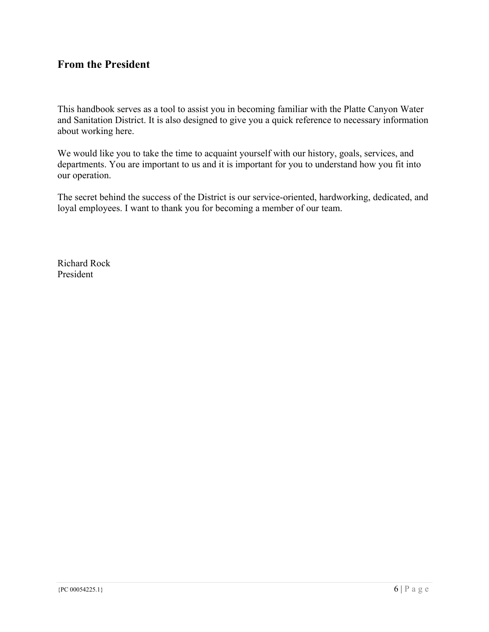### **From the President**

This handbook serves as a tool to assist you in becoming familiar with the Platte Canyon Water and Sanitation District. It is also designed to give you a quick reference to necessary information about working here.

We would like you to take the time to acquaint yourself with our history, goals, services, and departments. You are important to us and it is important for you to understand how you fit into our operation.

The secret behind the success of the District is our service-oriented, hardworking, dedicated, and loyal employees. I want to thank you for becoming a member of our team.

Richard Rock President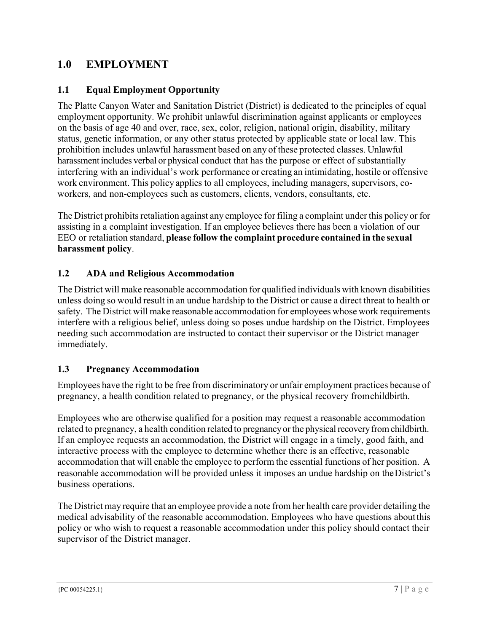### **1.0 EMPLOYMENT**

### **1.1 Equal Employment Opportunity**

The Platte Canyon Water and Sanitation District (District) is dedicated to the principles of equal employment opportunity. We prohibit unlawful discrimination against applicants or employees on the basis of age 40 and over, race, sex, color, religion, national origin, disability, military status, genetic information, or any other status protected by applicable state or local law. This prohibition includes unlawful harassment based on any of these protected classes. Unlawful harassment includes verbal or physical conduct that has the purpose or effect of substantially interfering with an individual's work performance or creating an intimidating, hostile or offensive work environment. This policy applies to all employees, including managers, supervisors, coworkers, and non-employees such as customers, clients, vendors, consultants, etc.

The District prohibits retaliation against any employee for filing a complaint under this policy or for assisting in a complaint investigation. If an employee believes there has been a violation of our EEO or retaliation standard, **please follow the complaint procedure contained in the sexual harassment policy**.

### **1.2 ADA and Religious Accommodation**

The District will make reasonable accommodation for qualified individuals with known disabilities unless doing so would result in an undue hardship to the District or cause a direct threat to health or safety. The District will make reasonable accommodation for employees whose work requirements interfere with a religious belief, unless doing so poses undue hardship on the District. Employees needing such accommodation are instructed to contact their supervisor or the District manager immediately.

### **1.3 Pregnancy Accommodation**

Employees have the right to be free from discriminatory or unfair employment practices because of pregnancy, a health condition related to pregnancy, or the physical recovery from childbirth.

Employees who are otherwise qualified for a position may request a reasonable accommodation related to pregnancy, a health condition related to pregnancy or the physical recovery from childbirth. If an employee requests an accommodation, the District will engage in a timely, good faith, and interactive process with the employee to determine whether there is an effective, reasonable accommodation that will enable the employee to perform the essential functions of her position. A reasonable accommodation will be provided unless it imposes an undue hardship on the District's business operations.

The District may require that an employee provide a note from her health care provider detailing the medical advisability of the reasonable accommodation. Employees who have questions about this policy or who wish to request a reasonable accommodation under this policy should contact their supervisor of the District manager.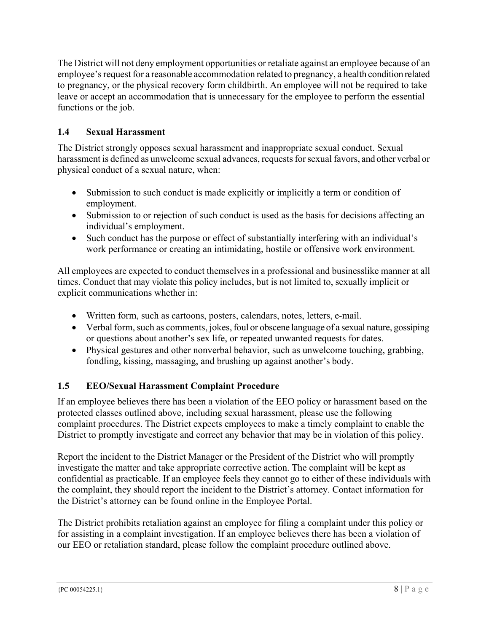The District will not deny employment opportunities or retaliate against an employee because of an employee's request for a reasonable accommodation related to pregnancy, a health condition related to pregnancy, or the physical recovery form childbirth. An employee will not be required to take leave or accept an accommodation that is unnecessary for the employee to perform the essential functions or the job.

### **1.4 Sexual Harassment**

The District strongly opposes sexual harassment and inappropriate sexual conduct. Sexual harassment is defined as unwelcome sexual advances, requests for sexual favors, and other verbal or physical conduct of a sexual nature, when:

- Submission to such conduct is made explicitly or implicitly a term or condition of employment.
- Submission to or rejection of such conduct is used as the basis for decisions affecting an individual's employment.
- Such conduct has the purpose or effect of substantially interfering with an individual's work performance or creating an intimidating, hostile or offensive work environment.

All employees are expected to conduct themselves in a professional and businesslike manner at all times. Conduct that may violate this policy includes, but is not limited to, sexually implicit or explicit communications whether in:

- Written form, such as cartoons, posters, calendars, notes, letters, e-mail.
- Verbal form, such as comments, jokes, foul or obscene language of a sexual nature, gossiping or questions about another's sex life, or repeated unwanted requests for dates.
- Physical gestures and other nonverbal behavior, such as unwelcome touching, grabbing, fondling, kissing, massaging, and brushing up against another's body.

### **1.5 EEO/Sexual Harassment Complaint Procedure**

If an employee believes there has been a violation of the EEO policy or harassment based on the protected classes outlined above, including sexual harassment, please use the following complaint procedures. The District expects employees to make a timely complaint to enable the District to promptly investigate and correct any behavior that may be in violation of this policy.

Report the incident to the District Manager or the President of the District who will promptly investigate the matter and take appropriate corrective action. The complaint will be kept as confidential as practicable. If an employee feels they cannot go to either of these individuals with the complaint, they should report the incident to the District's attorney. Contact information for the District's attorney can be found online in the Employee Portal.

The District prohibits retaliation against an employee for filing a complaint under this policy or for assisting in a complaint investigation. If an employee believes there has been a violation of our EEO or retaliation standard, please follow the complaint procedure outlined above.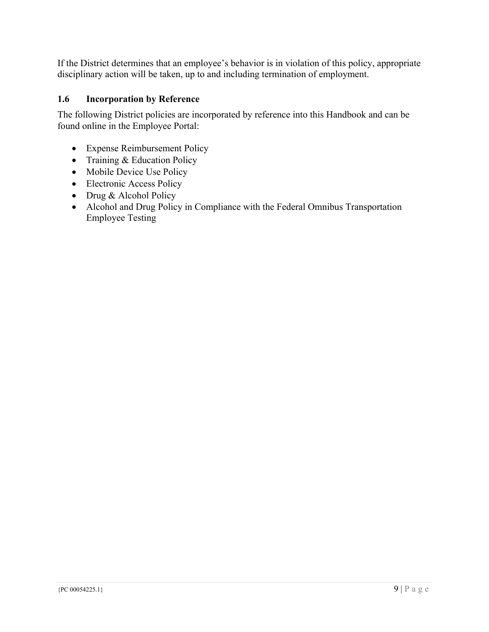If the District determines that an employee's behavior is in violation of this policy, appropriate disciplinary action will be taken, up to and including termination of employment.

### **1.6 Incorporation by Reference**

The following District policies are incorporated by reference into this Handbook and can be found online in the Employee Portal:

- Expense Reimbursement Policy
- Training & Education Policy
- Mobile Device Use Policy
- Electronic Access Policy
- Drug & Alcohol Policy
- Alcohol and Drug Policy in Compliance with the Federal Omnibus Transportation Employee Testing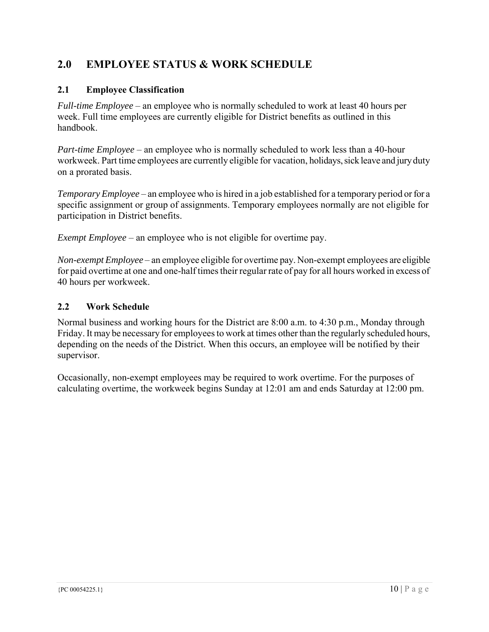### **2.0 EMPLOYEE STATUS & WORK SCHEDULE**

### **2.1 Employee Classification**

*Full-time Employee* – an employee who is normally scheduled to work at least 40 hours per week. Full time employees are currently eligible for District benefits as outlined in this handbook.

*Part-time Employee* – an employee who is normally scheduled to work less than a 40-hour workweek. Part time employees are currently eligible for vacation, holidays, sick leave and jury duty on a prorated basis.

*Temporary Employee* – an employee who is hired in a job established for a temporary period or for a specific assignment or group of assignments. Temporary employees normally are not eligible for participation in District benefits.

*Exempt Employee* – an employee who is not eligible for overtime pay.

*Non-exempt Employee* – an employee eligible for overtime pay. Non-exempt employees are eligible for paid overtime at one and one-half times their regular rate of pay for all hours worked in excess of 40 hours per workweek.

### **2.2 Work Schedule**

Normal business and working hours for the District are 8:00 a.m. to 4:30 p.m., Monday through Friday. It may be necessary for employees to work at times other than the regularly scheduled hours, depending on the needs of the District. When this occurs, an employee will be notified by their supervisor.

Occasionally, non-exempt employees may be required to work overtime. For the purposes of calculating overtime, the workweek begins Sunday at 12:01 am and ends Saturday at 12:00 pm.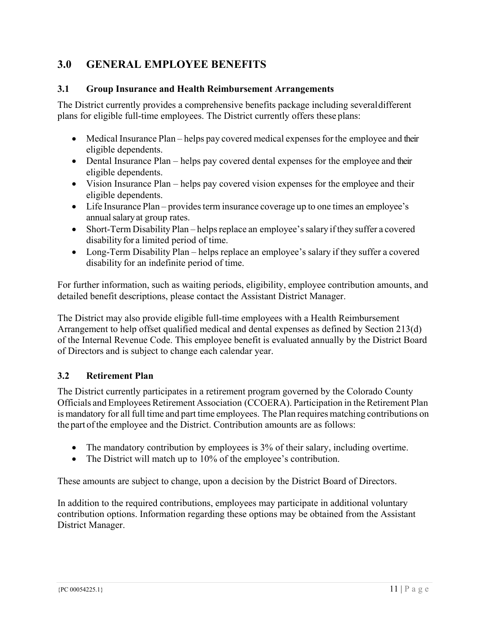### **3.0 GENERAL EMPLOYEE BENEFITS**

#### **3.1 Group Insurance and Health Reimbursement Arrangements**

The District currently provides a comprehensive benefits package including several different plans for eligible full-time employees. The District currently offers these plans:

- Medical Insurance Plan helps pay covered medical expenses for the employee and their eligible dependents.
- Dental Insurance Plan helps pay covered dental expenses for the employee and their eligible dependents.
- Vision Insurance Plan helps pay covered vision expenses for the employee and their eligible dependents.
- Life Insurance Plan provides term insurance coverage up to one times an employee's annual salary at group rates.
- Short-Term Disability Plan helps replace an employee's salary if they suffer a covered disability for a limited period of time.
- Long-Term Disability Plan helps replace an employee's salary if they suffer a covered disability for an indefinite period of time.

For further information, such as waiting periods, eligibility, employee contribution amounts, and detailed benefit descriptions, please contact the Assistant District Manager.

The District may also provide eligible full-time employees with a Health Reimbursement Arrangement to help offset qualified medical and dental expenses as defined by Section 213(d) of the Internal Revenue Code. This employee benefit is evaluated annually by the District Board of Directors and is subject to change each calendar year.

### **3.2 Retirement Plan**

The District currently participates in a retirement program governed by the Colorado County Officials and Employees Retirement Association (CCOERA). Participation in the Retirement Plan is mandatory for all full time and part time employees. The Plan requires matching contributions on the part of the employee and the District. Contribution amounts are as follows:

- The mandatory contribution by employees is 3% of their salary, including overtime.
- The District will match up to 10% of the employee's contribution.

These amounts are subject to change, upon a decision by the District Board of Directors.

In addition to the required contributions, employees may participate in additional voluntary contribution options. Information regarding these options may be obtained from the Assistant District Manager.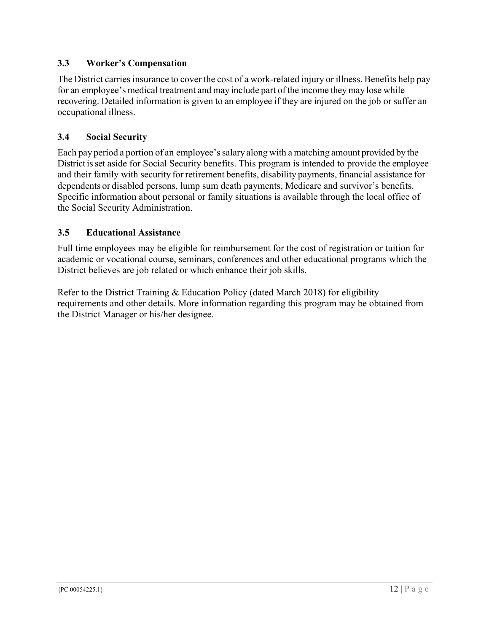### **3.3 Worker's Compensation**

The District carries insurance to cover the cost of a work-related injury or illness. Benefits help pay for an employee's medical treatment and may include part of the income they may lose while recovering. Detailed information is given to an employee if they are injured on the job or suffer an occupational illness.

### **3.4 Social Security**

Each pay period a portion of an employee's salary along with a matching amount provided by the District is set aside for Social Security benefits. This program is intended to provide the employee and their family with security for retirement benefits, disability payments, financial assistance for dependents or disabled persons, lump sum death payments, Medicare and survivor's benefits. Specific information about personal or family situations is available through the local office of the Social Security Administration.

### **3.5 Educational Assistance**

Full time employees may be eligible for reimbursement for the cost of registration or tuition for academic or vocational course, seminars, conferences and other educational programs which the District believes are job related or which enhance their job skills.

Refer to the District Training & Education Policy (dated March 2018) for eligibility requirements and other details. More information regarding this program may be obtained from the District Manager or his/her designee.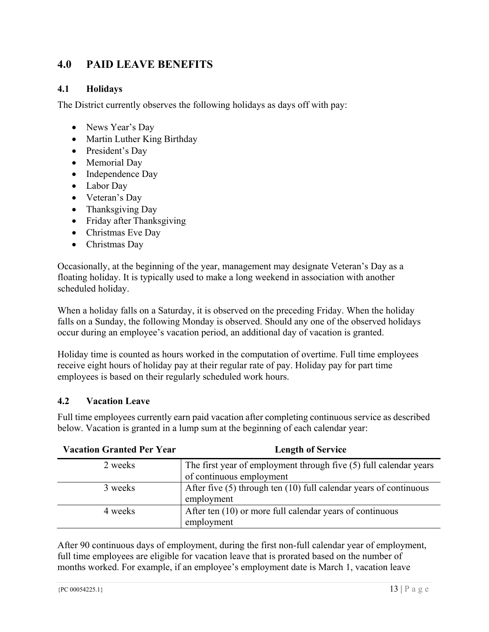### **4.0 PAID LEAVE BENEFITS**

### **4.1 Holidays**

The District currently observes the following holidays as days off with pay:

- News Year's Day
- Martin Luther King Birthday
- President's Day
- Memorial Day
- Independence Day
- Labor Day
- Veteran's Day
- Thanksgiving Day
- Friday after Thanksgiving
- Christmas Eve Day
- Christmas Day

Occasionally, at the beginning of the year, management may designate Veteran's Day as a floating holiday. It is typically used to make a long weekend in association with another scheduled holiday.

When a holiday falls on a Saturday, it is observed on the preceding Friday. When the holiday falls on a Sunday, the following Monday is observed. Should any one of the observed holidays occur during an employee's vacation period, an additional day of vacation is granted.

Holiday time is counted as hours worked in the computation of overtime. Full time employees receive eight hours of holiday pay at their regular rate of pay. Holiday pay for part time employees is based on their regularly scheduled work hours.

### **4.2 Vacation Leave**

Full time employees currently earn paid vacation after completing continuous service as described below. Vacation is granted in a lump sum at the beginning of each calendar year:

| <b>Vacation Granted Per Year</b> | <b>Length of Service</b>                                              |
|----------------------------------|-----------------------------------------------------------------------|
| 2 weeks                          | The first year of employment through five (5) full calendar years     |
|                                  | of continuous employment                                              |
| 3 weeks                          | After five $(5)$ through ten $(10)$ full calendar years of continuous |
|                                  | employment                                                            |
| 4 weeks                          | After ten (10) or more full calendar years of continuous              |
|                                  | employment                                                            |

After 90 continuous days of employment, during the first non-full calendar year of employment, full time employees are eligible for vacation leave that is prorated based on the number of months worked. For example, if an employee's employment date is March 1, vacation leave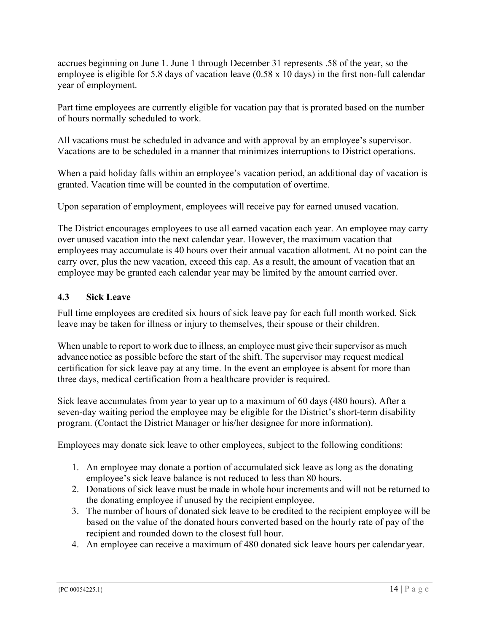accrues beginning on June 1. June 1 through December 31 represents .58 of the year, so the employee is eligible for 5.8 days of vacation leave (0.58 x 10 days) in the first non-full calendar year of employment.

Part time employees are currently eligible for vacation pay that is prorated based on the number of hours normally scheduled to work.

All vacations must be scheduled in advance and with approval by an employee's supervisor. Vacations are to be scheduled in a manner that minimizes interruptions to District operations.

When a paid holiday falls within an employee's vacation period, an additional day of vacation is granted. Vacation time will be counted in the computation of overtime.

Upon separation of employment, employees will receive pay for earned unused vacation.

The District encourages employees to use all earned vacation each year. An employee may carry over unused vacation into the next calendar year. However, the maximum vacation that employees may accumulate is 40 hours over their annual vacation allotment. At no point can the carry over, plus the new vacation, exceed this cap. As a result, the amount of vacation that an employee may be granted each calendar year may be limited by the amount carried over.

### **4.3 Sick Leave**

Full time employees are credited six hours of sick leave pay for each full month worked. Sick leave may be taken for illness or injury to themselves, their spouse or their children.

When unable to report to work due to illness, an employee must give their supervisor as much advance notice as possible before the start of the shift. The supervisor may request medical certification for sick leave pay at any time. In the event an employee is absent for more than three days, medical certification from a healthcare provider is required.

Sick leave accumulates from year to year up to a maximum of 60 days (480 hours). After a seven-day waiting period the employee may be eligible for the District's short-term disability program. (Contact the District Manager or his/her designee for more information).

Employees may donate sick leave to other employees, subject to the following conditions:

- 1. An employee may donate a portion of accumulated sick leave as long as the donating employee's sick leave balance is not reduced to less than 80 hours.
- 2. Donations of sick leave must be made in whole hour increments and will not be returned to the donating employee if unused by the recipient employee.
- 3. The number of hours of donated sick leave to be credited to the recipient employee will be based on the value of the donated hours converted based on the hourly rate of pay of the recipient and rounded down to the closest full hour.
- 4. An employee can receive a maximum of 480 donated sick leave hours per calendar year.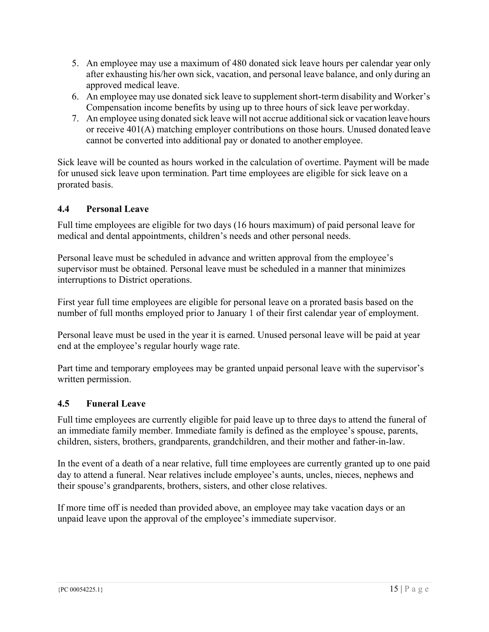- 5. An employee may use a maximum of 480 donated sick leave hours per calendar year only after exhausting his/her own sick, vacation, and personal leave balance, and only during an approved medical leave.
- 6. An employee may use donated sick leave to supplement short-term disability and Worker's Compensation income benefits by using up to three hours of sick leave per workday.
- 7. An employee using donated sick leave will not accrue additional sick or vacation leave hours or receive 401(A) matching employer contributions on those hours. Unused donated leave cannot be converted into additional pay or donated to another employee.

Sick leave will be counted as hours worked in the calculation of overtime. Payment will be made for unused sick leave upon termination. Part time employees are eligible for sick leave on a prorated basis.

### **4.4 Personal Leave**

Full time employees are eligible for two days (16 hours maximum) of paid personal leave for medical and dental appointments, children's needs and other personal needs.

Personal leave must be scheduled in advance and written approval from the employee's supervisor must be obtained. Personal leave must be scheduled in a manner that minimizes interruptions to District operations.

First year full time employees are eligible for personal leave on a prorated basis based on the number of full months employed prior to January 1 of their first calendar year of employment.

Personal leave must be used in the year it is earned. Unused personal leave will be paid at year end at the employee's regular hourly wage rate.

Part time and temporary employees may be granted unpaid personal leave with the supervisor's written permission.

### **4.5 Funeral Leave**

Full time employees are currently eligible for paid leave up to three days to attend the funeral of an immediate family member. Immediate family is defined as the employee's spouse, parents, children, sisters, brothers, grandparents, grandchildren, and their mother and father-in-law.

In the event of a death of a near relative, full time employees are currently granted up to one paid day to attend a funeral. Near relatives include employee's aunts, uncles, nieces, nephews and their spouse's grandparents, brothers, sisters, and other close relatives.

If more time off is needed than provided above, an employee may take vacation days or an unpaid leave upon the approval of the employee's immediate supervisor.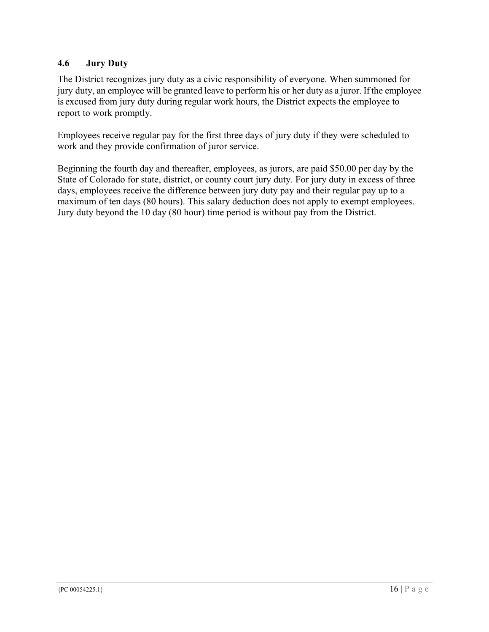### **4.6 Jury Duty**

The District recognizes jury duty as a civic responsibility of everyone. When summoned for jury duty, an employee will be granted leave to perform his or her duty as a juror. If the employee is excused from jury duty during regular work hours, the District expects the employee to report to work promptly.

Employees receive regular pay for the first three days of jury duty if they were scheduled to work and they provide confirmation of juror service.

Beginning the fourth day and thereafter, employees, as jurors, are paid \$50.00 per day by the State of Colorado for state, district, or county court jury duty. For jury duty in excess of three days, employees receive the difference between jury duty pay and their regular pay up to a maximum of ten days (80 hours). This salary deduction does not apply to exempt employees. Jury duty beyond the 10 day (80 hour) time period is without pay from the District.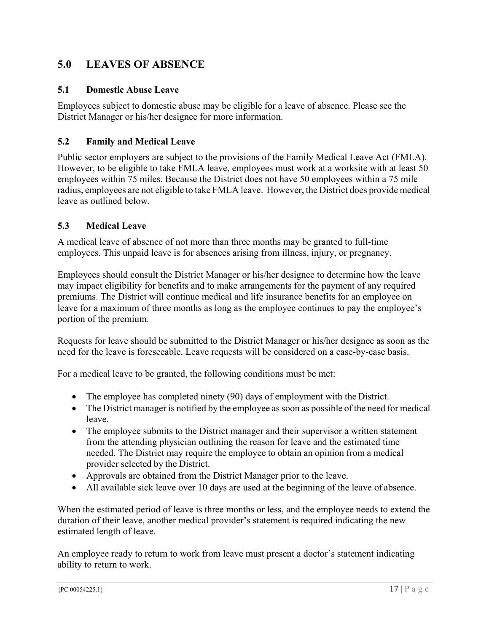### **5.0 LEAVES OF ABSENCE**

#### **5.1 Domestic Abuse Leave**

Employees subject to domestic abuse may be eligible for a leave of absence. Please see the District Manager or his/her designee for more information.

#### **5.2 Family and Medical Leave**

Public sector employers are subject to the provisions of the Family Medical Leave Act (FMLA). However, to be eligible to take FMLA leave, employees must work at a worksite with at least 50 employees within 75 miles. Because the District does not have 50 employees within a 75 mile radius, employees are not eligible to take FMLA leave. However, the District does provide medical leave as outlined below.

#### **5.3 Medical Leave**

A medical leave of absence of not more than three months may be granted to full-time employees. This unpaid leave is for absences arising from illness, injury, or pregnancy.

Employees should consult the District Manager or his/her designee to determine how the leave may impact eligibility for benefits and to make arrangements for the payment of any required premiums. The District will continue medical and life insurance benefits for an employee on leave for a maximum of three months as long as the employee continues to pay the employee's portion of the premium.

Requests for leave should be submitted to the District Manager or his/her designee as soon as the need for the leave is foreseeable. Leave requests will be considered on a case-by-case basis.

For a medical leave to be granted, the following conditions must be met:

- The employee has completed ninety (90) days of employment with the District.
- The District manager is notified by the employee as soon as possible of the need for medical leave.
- The employee submits to the District manager and their supervisor a written statement from the attending physician outlining the reason for leave and the estimated time needed. The District may require the employee to obtain an opinion from a medical provider selected by the District.
- Approvals are obtained from the District Manager prior to the leave.
- All available sick leave over 10 days are used at the beginning of the leave of absence.

When the estimated period of leave is three months or less, and the employee needs to extend the duration of their leave, another medical provider's statement is required indicating the new estimated length of leave.

An employee ready to return to work from leave must present a doctor's statement indicating ability to return to work.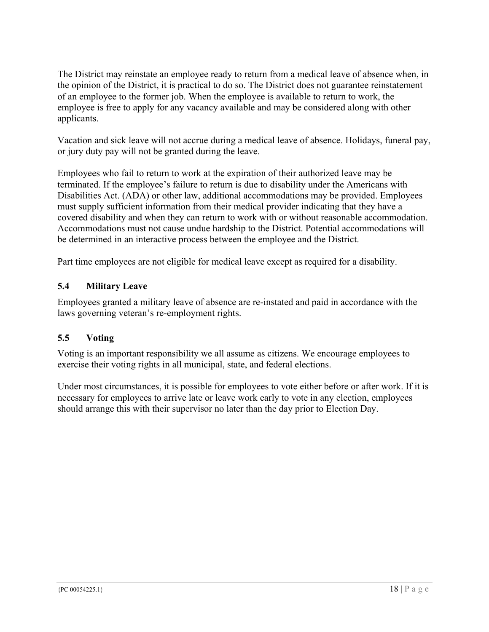The District may reinstate an employee ready to return from a medical leave of absence when, in the opinion of the District, it is practical to do so. The District does not guarantee reinstatement of an employee to the former job. When the employee is available to return to work, the employee is free to apply for any vacancy available and may be considered along with other applicants.

Vacation and sick leave will not accrue during a medical leave of absence. Holidays, funeral pay, or jury duty pay will not be granted during the leave.

Employees who fail to return to work at the expiration of their authorized leave may be terminated. If the employee's failure to return is due to disability under the Americans with Disabilities Act. (ADA) or other law, additional accommodations may be provided. Employees must supply sufficient information from their medical provider indicating that they have a covered disability and when they can return to work with or without reasonable accommodation. Accommodations must not cause undue hardship to the District. Potential accommodations will be determined in an interactive process between the employee and the District.

Part time employees are not eligible for medical leave except as required for a disability.

### **5.4 Military Leave**

Employees granted a military leave of absence are re-instated and paid in accordance with the laws governing veteran's re-employment rights.

### **5.5 Voting**

Voting is an important responsibility we all assume as citizens. We encourage employees to exercise their voting rights in all municipal, state, and federal elections.

Under most circumstances, it is possible for employees to vote either before or after work. If it is necessary for employees to arrive late or leave work early to vote in any election, employees should arrange this with their supervisor no later than the day prior to Election Day.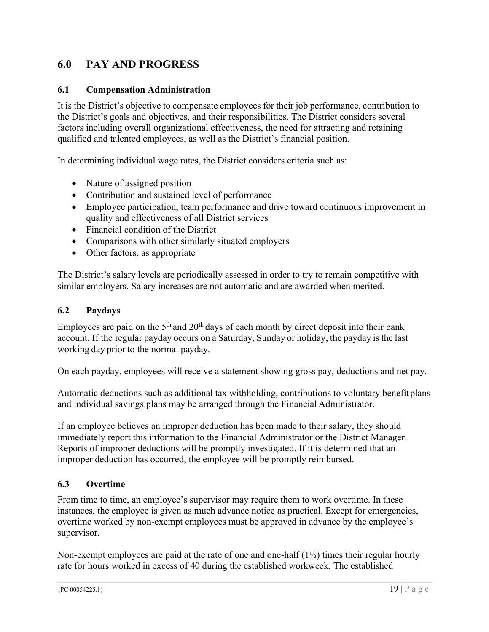### **6.0 PAY AND PROGRESS**

#### **6.1 Compensation Administration**

It is the District's objective to compensate employees for their job performance, contribution to the District's goals and objectives, and their responsibilities. The District considers several factors including overall organizational effectiveness, the need for attracting and retaining qualified and talented employees, as well as the District's financial position.

In determining individual wage rates, the District considers criteria such as:

- Nature of assigned position
- Contribution and sustained level of performance
- Employee participation, team performance and drive toward continuous improvement in quality and effectiveness of all District services
- Financial condition of the District
- Comparisons with other similarly situated employers
- Other factors, as appropriate

The District's salary levels are periodically assessed in order to try to remain competitive with similar employers. Salary increases are not automatic and are awarded when merited.

#### **6.2 Paydays**

Employees are paid on the  $5<sup>th</sup>$  and  $20<sup>th</sup>$  days of each month by direct deposit into their bank account. If the regular payday occurs on a Saturday, Sunday or holiday, the payday is the last working day prior to the normal payday.

On each payday, employees will receive a statement showing gross pay, deductions and net pay.

Automatic deductions such as additional tax withholding, contributions to voluntary benefit plans and individual savings plans may be arranged through the Financial Administrator.

If an employee believes an improper deduction has been made to their salary, they should immediately report this information to the Financial Administrator or the District Manager. Reports of improper deductions will be promptly investigated. If it is determined that an improper deduction has occurred, the employee will be promptly reimbursed.

#### **6.3 Overtime**

From time to time, an employee's supervisor may require them to work overtime. In these instances, the employee is given as much advance notice as practical. Except for emergencies, overtime worked by non-exempt employees must be approved in advance by the employee's supervisor.

Non-exempt employees are paid at the rate of one and one-half  $(1\frac{1}{2})$  times their regular hourly rate for hours worked in excess of 40 during the established workweek. The established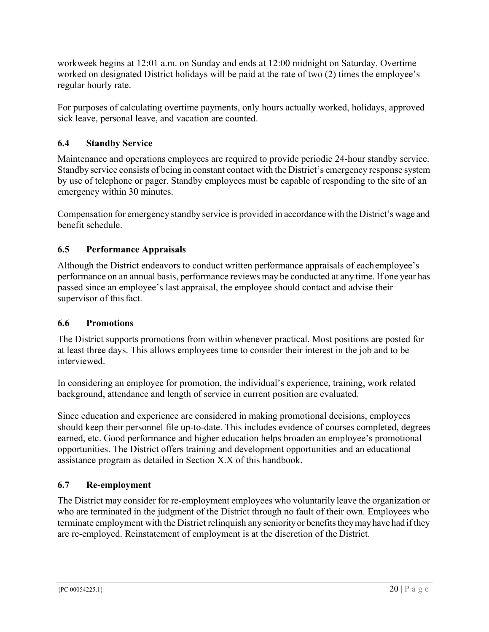workweek begins at 12:01 a.m. on Sunday and ends at 12:00 midnight on Saturday. Overtime worked on designated District holidays will be paid at the rate of two (2) times the employee's regular hourly rate.

For purposes of calculating overtime payments, only hours actually worked, holidays, approved sick leave, personal leave, and vacation are counted.

### **6.4 Standby Service**

Maintenance and operations employees are required to provide periodic 24-hour standby service. Standby service consists of being in constant contact with the District's emergency response system by use of telephone or pager. Standby employees must be capable of responding to the site of an emergency within 30 minutes.

Compensation for emergency standby service is provided in accordance with the District's wage and benefit schedule.

### **6.5 Performance Appraisals**

Although the District endeavors to conduct written performance appraisals of each employee's performance on an annual basis, performance reviews may be conducted at any time. If one year has passed since an employee's last appraisal, the employee should contact and advise their supervisor of this fact.

### **6.6 Promotions**

The District supports promotions from within whenever practical. Most positions are posted for at least three days. This allows employees time to consider their interest in the job and to be interviewed.

In considering an employee for promotion, the individual's experience, training, work related background, attendance and length of service in current position are evaluated.

Since education and experience are considered in making promotional decisions, employees should keep their personnel file up-to-date. This includes evidence of courses completed, degrees earned, etc. Good performance and higher education helps broaden an employee's promotional opportunities. The District offers training and development opportunities and an educational assistance program as detailed in Section X.X of this handbook.

### **6.7 Re-employment**

The District may consider for re-employment employees who voluntarily leave the organization or who are terminated in the judgment of the District through no fault of their own. Employees who terminate employment with the District relinquish any seniority or benefits they may have had if they are re-employed. Reinstatement of employment is at the discretion of the District.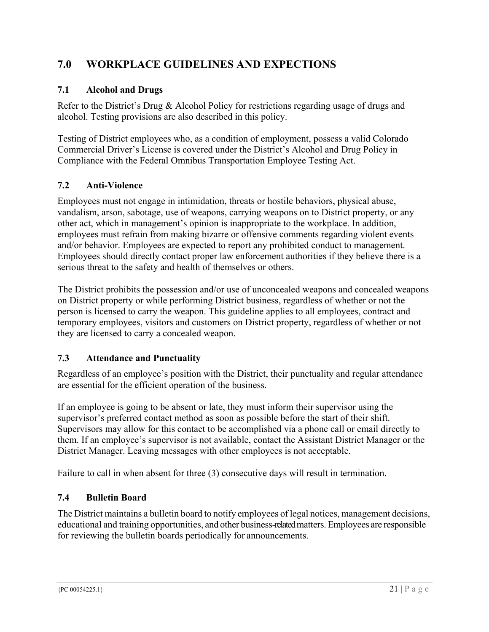### **7.0 WORKPLACE GUIDELINES AND EXPECTIONS**

### **7.1 Alcohol and Drugs**

Refer to the District's Drug & Alcohol Policy for restrictions regarding usage of drugs and alcohol. Testing provisions are also described in this policy.

Testing of District employees who, as a condition of employment, possess a valid Colorado Commercial Driver's License is covered under the District's Alcohol and Drug Policy in Compliance with the Federal Omnibus Transportation Employee Testing Act.

### **7.2 Anti-Violence**

Employees must not engage in intimidation, threats or hostile behaviors, physical abuse, vandalism, arson, sabotage, use of weapons, carrying weapons on to District property, or any other act, which in management's opinion is inappropriate to the workplace. In addition, employees must refrain from making bizarre or offensive comments regarding violent events and/or behavior. Employees are expected to report any prohibited conduct to management. Employees should directly contact proper law enforcement authorities if they believe there is a serious threat to the safety and health of themselves or others.

The District prohibits the possession and/or use of unconcealed weapons and concealed weapons on District property or while performing District business, regardless of whether or not the person is licensed to carry the weapon. This guideline applies to all employees, contract and temporary employees, visitors and customers on District property, regardless of whether or not they are licensed to carry a concealed weapon.

### **7.3 Attendance and Punctuality**

Regardless of an employee's position with the District, their punctuality and regular attendance are essential for the efficient operation of the business.

If an employee is going to be absent or late, they must inform their supervisor using the supervisor's preferred contact method as soon as possible before the start of their shift. Supervisors may allow for this contact to be accomplished via a phone call or email directly to them. If an employee's supervisor is not available, contact the Assistant District Manager or the District Manager. Leaving messages with other employees is not acceptable.

Failure to call in when absent for three (3) consecutive days will result in termination.

### **7.4 Bulletin Board**

The District maintains a bulletin board to notify employees of legal notices, management decisions, educational and training opportunities, and other business-related matters. Employees are responsible for reviewing the bulletin boards periodically for announcements.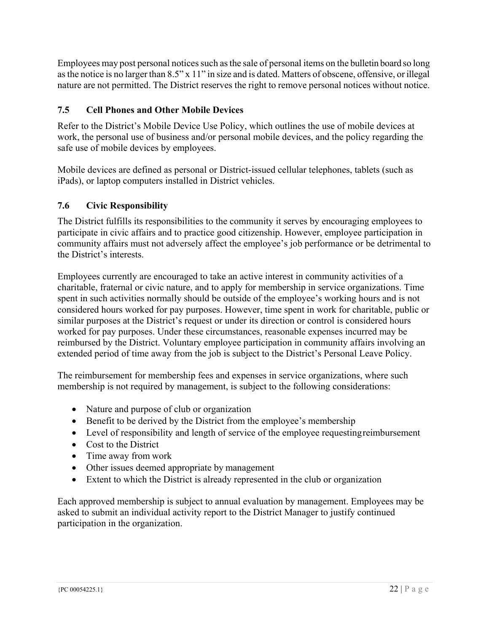Employees may post personal notices such as the sale of personal items on the bulletin board so long as the notice is no larger than 8.5" x 11" in size and is dated. Matters of obscene, offensive, or illegal nature are not permitted. The District reserves the right to remove personal notices without notice.

### **7.5 Cell Phones and Other Mobile Devices**

Refer to the District's Mobile Device Use Policy, which outlines the use of mobile devices at work, the personal use of business and/or personal mobile devices, and the policy regarding the safe use of mobile devices by employees.

Mobile devices are defined as personal or District-issued cellular telephones, tablets (such as iPads), or laptop computers installed in District vehicles.

### **7.6 Civic Responsibility**

The District fulfills its responsibilities to the community it serves by encouraging employees to participate in civic affairs and to practice good citizenship. However, employee participation in community affairs must not adversely affect the employee's job performance or be detrimental to the District's interests.

Employees currently are encouraged to take an active interest in community activities of a charitable, fraternal or civic nature, and to apply for membership in service organizations. Time spent in such activities normally should be outside of the employee's working hours and is not considered hours worked for pay purposes. However, time spent in work for charitable, public or similar purposes at the District's request or under its direction or control is considered hours worked for pay purposes. Under these circumstances, reasonable expenses incurred may be reimbursed by the District. Voluntary employee participation in community affairs involving an extended period of time away from the job is subject to the District's Personal Leave Policy.

The reimbursement for membership fees and expenses in service organizations, where such membership is not required by management, is subject to the following considerations:

- Nature and purpose of club or organization
- Benefit to be derived by the District from the employee's membership
- Level of responsibility and length of service of the employee requesting reimbursement
- Cost to the District
- Time away from work
- Other issues deemed appropriate by management
- Extent to which the District is already represented in the club or organization

Each approved membership is subject to annual evaluation by management. Employees may be asked to submit an individual activity report to the District Manager to justify continued participation in the organization.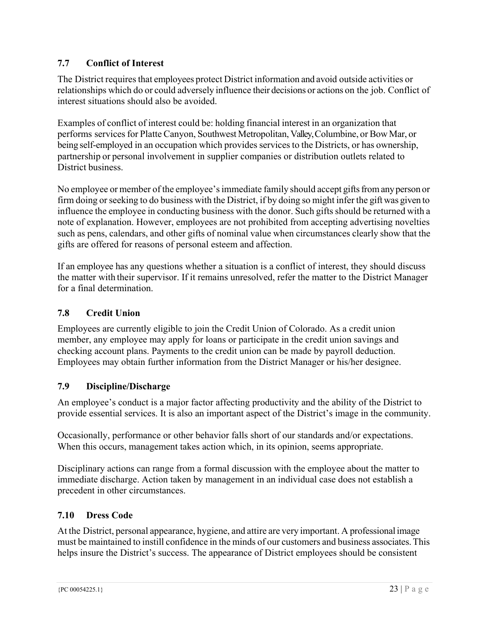### **7.7 Conflict of Interest**

The District requires that employees protect District information and avoid outside activities or relationships which do or could adversely influence their decisions or actions on the job. Conflict of interest situations should also be avoided.

Examples of conflict of interest could be: holding financial interest in an organization that performs services for Platte Canyon, Southwest Metropolitan, Valley, Columbine, or Bow Mar, or being self-employed in an occupation which provides services to the Districts, or has ownership, partnership or personal involvement in supplier companies or distribution outlets related to District business.

No employee or member of the employee's immediate family should accept gifts from any person or firm doing or seeking to do business with the District, if by doing so might infer the gift was given to influence the employee in conducting business with the donor. Such gifts should be returned with a note of explanation. However, employees are not prohibited from accepting advertising novelties such as pens, calendars, and other gifts of nominal value when circumstances clearly show that the gifts are offered for reasons of personal esteem and affection.

If an employee has any questions whether a situation is a conflict of interest, they should discuss the matter with their supervisor. If it remains unresolved, refer the matter to the District Manager for a final determination.

### **7.8 Credit Union**

Employees are currently eligible to join the Credit Union of Colorado. As a credit union member, any employee may apply for loans or participate in the credit union savings and checking account plans. Payments to the credit union can be made by payroll deduction. Employees may obtain further information from the District Manager or his/her designee.

### **7.9 Discipline/Discharge**

An employee's conduct is a major factor affecting productivity and the ability of the District to provide essential services. It is also an important aspect of the District's image in the community.

Occasionally, performance or other behavior falls short of our standards and/or expectations. When this occurs, management takes action which, in its opinion, seems appropriate.

Disciplinary actions can range from a formal discussion with the employee about the matter to immediate discharge. Action taken by management in an individual case does not establish a precedent in other circumstances.

### **7.10 Dress Code**

At the District, personal appearance, hygiene, and attire are very important. A professional image must be maintained to instill confidence in the minds of our customers and business associates. This helps insure the District's success. The appearance of District employees should be consistent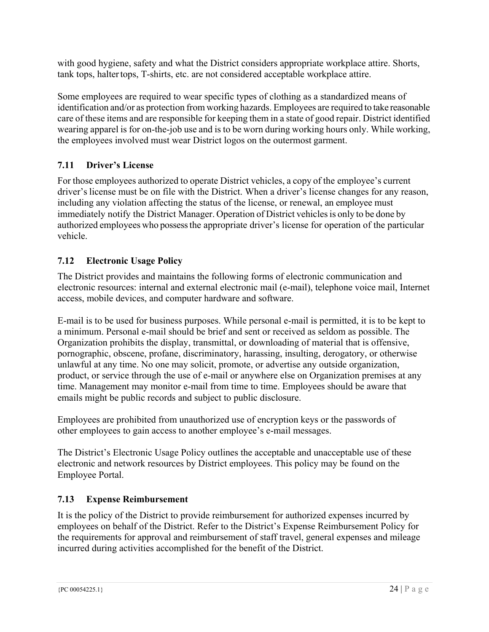with good hygiene, safety and what the District considers appropriate workplace attire. Shorts, tank tops, halter tops, T-shirts, etc. are not considered acceptable workplace attire.

Some employees are required to wear specific types of clothing as a standardized means of identification and/or as protection from working hazards. Employees are required to take reasonable care of these items and are responsible for keeping them in a state of good repair. District identified wearing apparel is for on-the-job use and is to be worn during working hours only. While working, the employees involved must wear District logos on the outermost garment.

### **7.11 Driver's License**

For those employees authorized to operate District vehicles, a copy of the employee's current driver's license must be on file with the District. When a driver's license changes for any reason, including any violation affecting the status of the license, or renewal, an employee must immediately notify the District Manager. Operation of District vehicles is only to be done by authorized employees who possess the appropriate driver's license for operation of the particular vehicle.

### **7.12 Electronic Usage Policy**

The District provides and maintains the following forms of electronic communication and electronic resources: internal and external electronic mail (e-mail), telephone voice mail, Internet access, mobile devices, and computer hardware and software.

E-mail is to be used for business purposes. While personal e-mail is permitted, it is to be kept to a minimum. Personal e-mail should be brief and sent or received as seldom as possible. The Organization prohibits the display, transmittal, or downloading of material that is offensive, pornographic, obscene, profane, discriminatory, harassing, insulting, derogatory, or otherwise unlawful at any time. No one may solicit, promote, or advertise any outside organization, product, or service through the use of e-mail or anywhere else on Organization premises at any time. Management may monitor e-mail from time to time. Employees should be aware that emails might be public records and subject to public disclosure.

Employees are prohibited from unauthorized use of encryption keys or the passwords of other employees to gain access to another employee's e-mail messages.

The District's Electronic Usage Policy outlines the acceptable and unacceptable use of these electronic and network resources by District employees. This policy may be found on the Employee Portal.

### **7.13 Expense Reimbursement**

It is the policy of the District to provide reimbursement for authorized expenses incurred by employees on behalf of the District. Refer to the District's Expense Reimbursement Policy for the requirements for approval and reimbursement of staff travel, general expenses and mileage incurred during activities accomplished for the benefit of the District.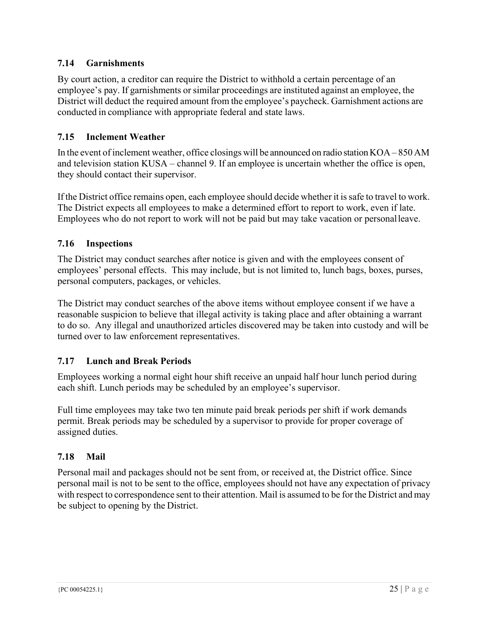### **7.14 Garnishments**

By court action, a creditor can require the District to withhold a certain percentage of an employee's pay. If garnishments or similar proceedings are instituted against an employee, the District will deduct the required amount from the employee's paycheck. Garnishment actions are conducted in compliance with appropriate federal and state laws.

### **7.15 Inclement Weather**

In the event of inclement weather, office closings will be announced on radio station KOA – 850 AM and television station KUSA – channel 9. If an employee is uncertain whether the office is open, they should contact their supervisor.

If the District office remains open, each employee should decide whether it is safe to travel to work. The District expects all employees to make a determined effort to report to work, even if late. Employees who do not report to work will not be paid but may take vacation or personal leave.

### **7.16 Inspections**

The District may conduct searches after notice is given and with the employees consent of employees' personal effects. This may include, but is not limited to, lunch bags, boxes, purses, personal computers, packages, or vehicles.

The District may conduct searches of the above items without employee consent if we have a reasonable suspicion to believe that illegal activity is taking place and after obtaining a warrant to do so. Any illegal and unauthorized articles discovered may be taken into custody and will be turned over to law enforcement representatives.

### **7.17 Lunch and Break Periods**

Employees working a normal eight hour shift receive an unpaid half hour lunch period during each shift. Lunch periods may be scheduled by an employee's supervisor.

Full time employees may take two ten minute paid break periods per shift if work demands permit. Break periods may be scheduled by a supervisor to provide for proper coverage of assigned duties.

### **7.18 Mail**

Personal mail and packages should not be sent from, or received at, the District office. Since personal mail is not to be sent to the office, employees should not have any expectation of privacy with respect to correspondence sent to their attention. Mail is assumed to be for the District and may be subject to opening by the District.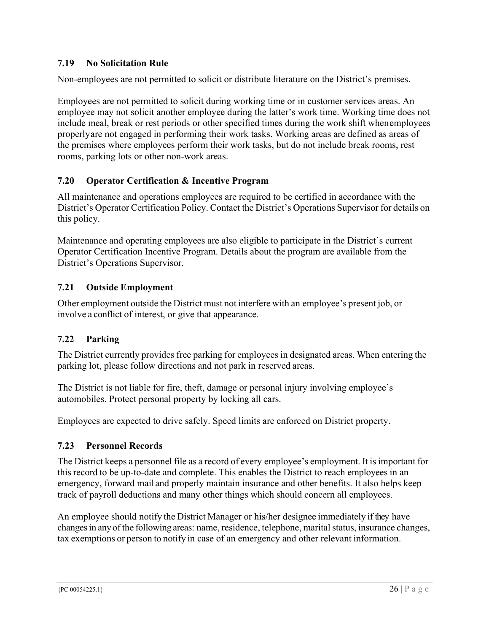### **7.19 No Solicitation Rule**

Non-employees are not permitted to solicit or distribute literature on the District's premises.

Employees are not permitted to solicit during working time or in customer services areas. An employee may not solicit another employee during the latter's work time. Working time does not include meal, break or rest periods or other specified times during the work shift when employees properly are not engaged in performing their work tasks. Working areas are defined as areas of the premises where employees perform their work tasks, but do not include break rooms, rest rooms, parking lots or other non-work areas.

### **7.20 Operator Certification & Incentive Program**

All maintenance and operations employees are required to be certified in accordance with the District's Operator Certification Policy. Contact the District's Operations Supervisor for details on this policy.

Maintenance and operating employees are also eligible to participate in the District's current Operator Certification Incentive Program. Details about the program are available from the District's Operations Supervisor.

### **7.21 Outside Employment**

Other employment outside the District must not interfere with an employee's present job, or involve a conflict of interest, or give that appearance.

### **7.22 Parking**

The District currently provides free parking for employees in designated areas. When entering the parking lot, please follow directions and not park in reserved areas.

The District is not liable for fire, theft, damage or personal injury involving employee's automobiles. Protect personal property by locking all cars.

Employees are expected to drive safely. Speed limits are enforced on District property.

### **7.23 Personnel Records**

The District keeps a personnel file as a record of every employee's employment. It is important for this record to be up-to-date and complete. This enables the District to reach employees in an emergency, forward mail and properly maintain insurance and other benefits. It also helps keep track of payroll deductions and many other things which should concern all employees.

An employee should notify the District Manager or his/her designee immediately if they have changes in any of the following areas: name, residence, telephone, marital status, insurance changes, tax exemptions or person to notify in case of an emergency and other relevant information.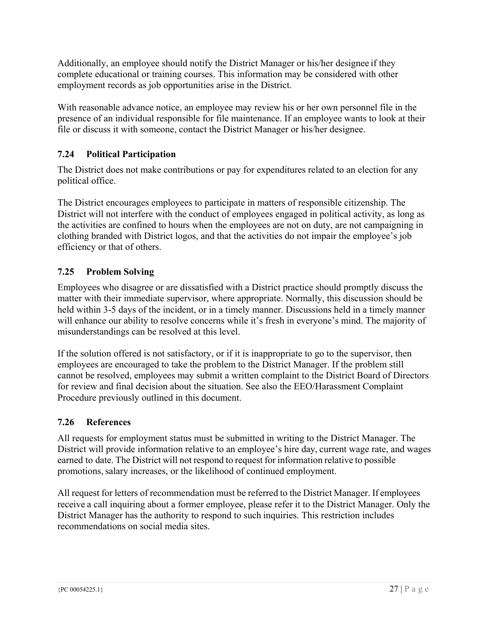Additionally, an employee should notify the District Manager or his/her designee if they complete educational or training courses. This information may be considered with other employment records as job opportunities arise in the District.

With reasonable advance notice, an employee may review his or her own personnel file in the presence of an individual responsible for file maintenance. If an employee wants to look at their file or discuss it with someone, contact the District Manager or his/her designee.

### **7.24 Political Participation**

The District does not make contributions or pay for expenditures related to an election for any political office.

The District encourages employees to participate in matters of responsible citizenship. The District will not interfere with the conduct of employees engaged in political activity, as long as the activities are confined to hours when the employees are not on duty, are not campaigning in clothing branded with District logos, and that the activities do not impair the employee's job efficiency or that of others.

### **7.25 Problem Solving**

Employees who disagree or are dissatisfied with a District practice should promptly discuss the matter with their immediate supervisor, where appropriate. Normally, this discussion should be held within 3-5 days of the incident, or in a timely manner. Discussions held in a timely manner will enhance our ability to resolve concerns while it's fresh in everyone's mind. The majority of misunderstandings can be resolved at this level.

If the solution offered is not satisfactory, or if it is inappropriate to go to the supervisor, then employees are encouraged to take the problem to the District Manager. If the problem still cannot be resolved, employees may submit a written complaint to the District Board of Directors for review and final decision about the situation. See also the EEO/Harassment Complaint Procedure previously outlined in this document.

### **7.26 References**

All requests for employment status must be submitted in writing to the District Manager. The District will provide information relative to an employee's hire day, current wage rate, and wages earned to date. The District will not respond to request for information relative to possible promotions, salary increases, or the likelihood of continued employment.

All request for letters of recommendation must be referred to the District Manager. If employees receive a call inquiring about a former employee, please refer it to the District Manager. Only the District Manager has the authority to respond to such inquiries. This restriction includes recommendations on social media sites.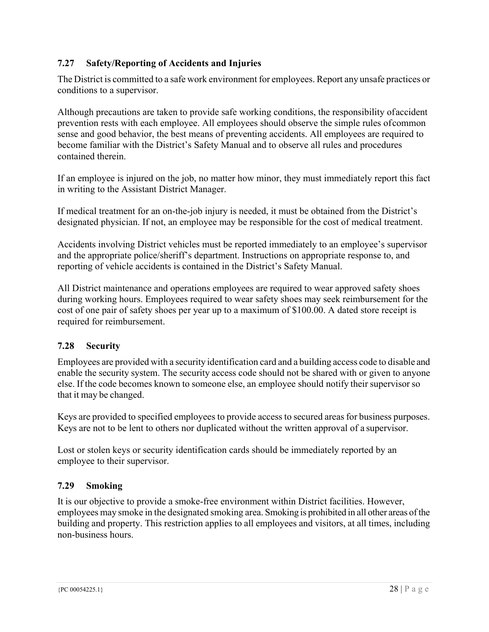### **7.27 Safety/Reporting of Accidents and Injuries**

The District is committed to a safe work environment for employees. Report any unsafe practices or conditions to a supervisor.

Although precautions are taken to provide safe working conditions, the responsibility of accident prevention rests with each employee. All employees should observe the simple rules of common sense and good behavior, the best means of preventing accidents. All employees are required to become familiar with the District's Safety Manual and to observe all rules and procedures contained therein.

If an employee is injured on the job, no matter how minor, they must immediately report this fact in writing to the Assistant District Manager.

If medical treatment for an on-the-job injury is needed, it must be obtained from the District's designated physician. If not, an employee may be responsible for the cost of medical treatment.

Accidents involving District vehicles must be reported immediately to an employee's supervisor and the appropriate police/sheriff's department. Instructions on appropriate response to, and reporting of vehicle accidents is contained in the District's Safety Manual.

All District maintenance and operations employees are required to wear approved safety shoes during working hours. Employees required to wear safety shoes may seek reimbursement for the cost of one pair of safety shoes per year up to a maximum of \$100.00. A dated store receipt is required for reimbursement.

### **7.28 Security**

Employees are provided with a security identification card and a building access code to disable and enable the security system. The security access code should not be shared with or given to anyone else. If the code becomes known to someone else, an employee should notify their supervisor so that it may be changed.

Keys are provided to specified employees to provide access to secured areas for business purposes. Keys are not to be lent to others nor duplicated without the written approval of a supervisor.

Lost or stolen keys or security identification cards should be immediately reported by an employee to their supervisor.

### **7.29 Smoking**

It is our objective to provide a smoke-free environment within District facilities. However, employees may smoke in the designated smoking area. Smoking is prohibited in all other areas of the building and property. This restriction applies to all employees and visitors, at all times, including non-business hours.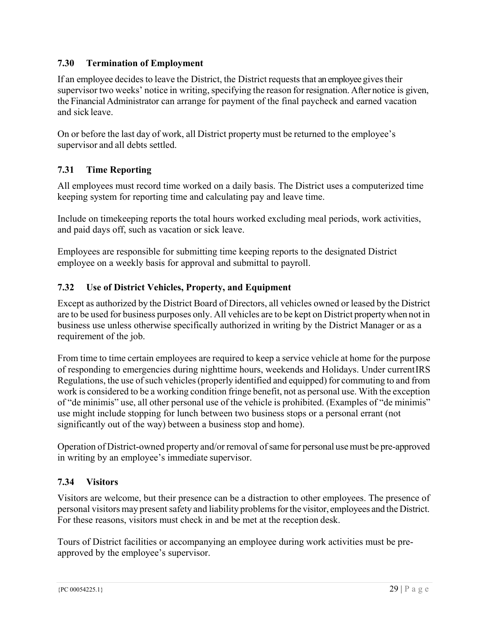### **7.30 Termination of Employment**

If an employee decides to leave the District, the District requests that an employee gives their supervisor two weeks' notice in writing, specifying the reason for resignation. After notice is given, the Financial Administrator can arrange for payment of the final paycheck and earned vacation and sick leave.

On or before the last day of work, all District property must be returned to the employee's supervisor and all debts settled.

### **7.31 Time Reporting**

All employees must record time worked on a daily basis. The District uses a computerized time keeping system for reporting time and calculating pay and leave time.

Include on timekeeping reports the total hours worked excluding meal periods, work activities, and paid days off, such as vacation or sick leave.

Employees are responsible for submitting time keeping reports to the designated District employee on a weekly basis for approval and submittal to payroll.

### **7.32 Use of District Vehicles, Property, and Equipment**

Except as authorized by the District Board of Directors, all vehicles owned or leased by the District are to be used for business purposes only. All vehicles are to be kept on District property when not in business use unless otherwise specifically authorized in writing by the District Manager or as a requirement of the job.

From time to time certain employees are required to keep a service vehicle at home for the purpose of responding to emergencies during nighttime hours, weekends and Holidays. Under current IRS Regulations, the use of such vehicles (properly identified and equipped) for commuting to and from work is considered to be a working condition fringe benefit, not as personal use. With the exception of "de minimis" use, all other personal use of the vehicle is prohibited. (Examples of "de minimis" use might include stopping for lunch between two business stops or a personal errant (not significantly out of the way) between a business stop and home).

Operation of District-owned property and/or removal of same for personal use must be pre-approved in writing by an employee's immediate supervisor.

### **7.34 Visitors**

Visitors are welcome, but their presence can be a distraction to other employees. The presence of personal visitors may present safety and liability problems for the visitor, employees and the District. For these reasons, visitors must check in and be met at the reception desk.

Tours of District facilities or accompanying an employee during work activities must be preapproved by the employee's supervisor.